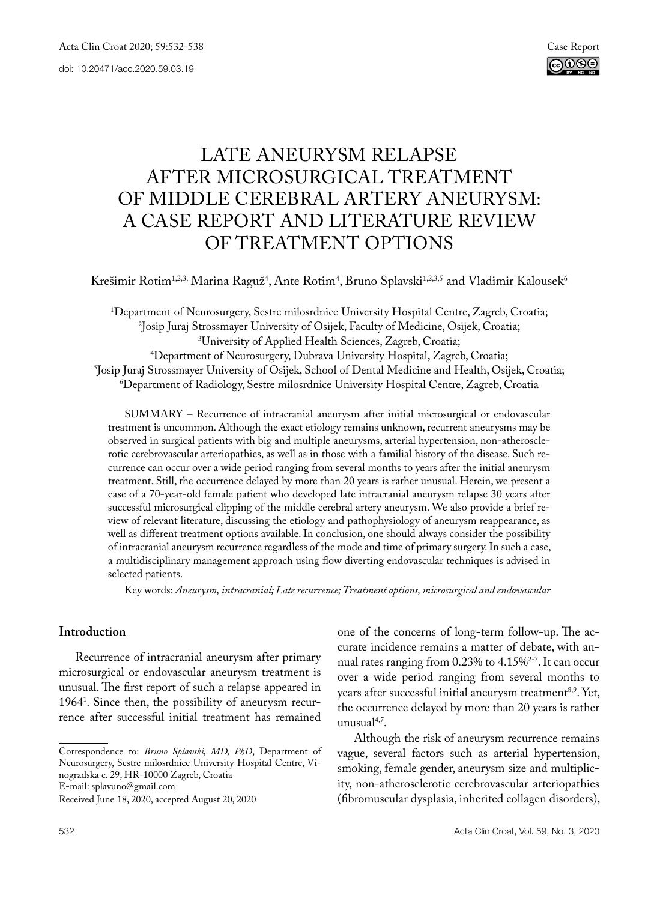

# LATE ANEURYSM RELAPSE AFTER MICROSURGICAL TREATMENT OF MIDDLE CEREBRAL ARTERY ANEURYSM: A CASE REPORT AND LITERATURE REVIEW OF TREATMENT OPTIONS

Krešimir Rotim<sup>1,2,3,</sup> Marina Raguž<sup>4</sup>, Ante Rotim<sup>4</sup>, Bruno Splavski<sup>1,2,3,5</sup> and Vladimir Kalousek<sup>6</sup>

1 Department of Neurosurgery, Sestre milosrdnice University Hospital Centre, Zagreb, Croatia; 2 Josip Juraj Strossmayer University of Osijek, Faculty of Medicine, Osijek, Croatia; 3 <sup>4</sup>Department of Neurosurgery, Dubrava University Hospital, Zagreb, Croatia; Department of Neurosurgery, Dubrava University Hospital, Zagreb, Croatia; 3- (1976)<br>Shosip Jurai Strossmaver University of Osijek. School of Dental Medicine and Health. Osij Josip Juraj Strossmayer University of Osijek, School of Dental Medicine and Health, Osijek, Croatia;<br>6) Denartment of Radiology Sestre milosrdnice University Hosnital Centre Zagreb Croatia Department of Radiology, Sestre milosrdnice University Hospital Centre, Zagreb, Croatia

SUMMARY – Recurrence of intracranial aneurysm after initial microsurgical or endovascular treatment is uncommon. Although the exact etiology remains unknown, recurrent aneurysms may be observed in surgical patients with big and multiple aneurysms, arterial hypertension, non-atherosclerotic cerebrovascular arteriopathies, as well as in those with a familial history of the disease. Such recurrence can occur over a wide period ranging from several months to years after the initial aneurysm treatment. Still, the occurrence delayed by more than 20 years is rather unusual. Herein, we present a case of a 70-year-old female patient who developed late intracranial aneurysm relapse 30 years after successful microsurgical clipping of the middle cerebral artery aneurysm. We also provide a brief review of relevant literature, discussing the etiology and pathophysiology of aneurysm reappearance, as well as different treatment options available. In conclusion, one should always consider the possibility of intracranial aneurysm recurrence regardless of the mode and time of primary surgery. In such a case, a multidisciplinary management approach using flow diverting endovascular techniques is advised in selected patients.

Key words: *Aneurysm, intracranial; Late recurrence; Treatment options, microsurgical and endovascular*

## **Introduction**

Recurrence of intracranial aneurysm after primary microsurgical or endovascular aneurysm treatment is unusual. The first report of such a relapse appeared in 19641 . Since then, the possibility of aneurysm recurrence after successful initial treatment has remained

Correspondence to: *Bruno Splavski, MD, PhD*, Department of Neurosurgery, Sestre milosrdnice University Hospital Centre, Vinogradska c. 29, HR-10000 Zagreb, Croatia E-mail: splavuno@gmail.com

one of the concerns of long-term follow-up. The accurate incidence remains a matter of debate, with annual rates ranging from 0.23% to 4.15%2-7. It can occur over a wide period ranging from several months to years after successful initial aneurysm treatment<sup>8,9</sup>. Yet, the occurrence delayed by more than 20 years is rather unusual4,7.

Although the risk of aneurysm recurrence remains vague, several factors such as arterial hypertension, smoking, female gender, aneurysm size and multiplicity, non-atherosclerotic cerebrovascular arteriopathies (fibromuscular dysplasia, inherited collagen disorders),

Received June 18, 2020, accepted August 20, 2020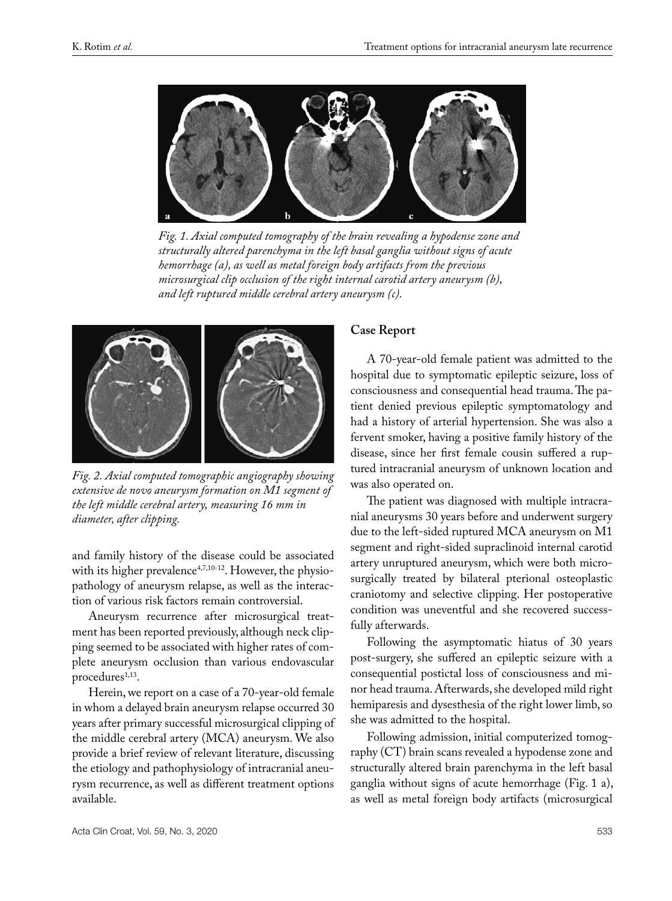

*Fig. 1. Axial computed tomography of the brain revealing a hypodense zone and structurally altered parenchyma in the left basal ganglia without signs of acute hemorrhage (a), as well as metal foreign body artifacts from the previous microsurgical clip occlusion of the right internal carotid artery aneurysm (b), and left ruptured middle cerebral artery aneurysm (c).*



*Fig. 2. Axial computed tomographic angiography showing extensive de novo aneurysm formation on M1 segment of the left middle cerebral artery, measuring 16 mm in diameter, after clipping.*

and family history of the disease could be associated with its higher prevalence<sup>4,7,10-12</sup>. However, the physiopathology of aneurysm relapse, as well as the interaction of various risk factors remain controversial.

Aneurysm recurrence after microsurgical treatment has been reported previously, although neck clipping seemed to be associated with higher rates of complete aneurysm occlusion than various endovascular procedures<sup>1,13</sup>.

Herein, we report on a case of a 70-year-old female in whom a delayed brain aneurysm relapse occurred 30 years after primary successful microsurgical clipping of the middle cerebral artery (MCA) aneurysm. We also provide a brief review of relevant literature, discussing the etiology and pathophysiology of intracranial aneurysm recurrence, as well as different treatment options available.

#### **Case Report**

A 70-year-old female patient was admitted to the hospital due to symptomatic epileptic seizure, loss of consciousness and consequential head trauma. The patient denied previous epileptic symptomatology and had a history of arterial hypertension. She was also a fervent smoker, having a positive family history of the disease, since her first female cousin suffered a ruptured intracranial aneurysm of unknown location and was also operated on.

The patient was diagnosed with multiple intracranial aneurysms 30 years before and underwent surgery due to the left-sided ruptured MCA aneurysm on M1 segment and right-sided supraclinoid internal carotid artery unruptured aneurysm, which were both microsurgically treated by bilateral pterional osteoplastic craniotomy and selective clipping. Her postoperative condition was uneventful and she recovered successfully afterwards.

Following the asymptomatic hiatus of 30 years post-surgery, she suffered an epileptic seizure with a consequential postictal loss of consciousness and minor head trauma. Afterwards, she developed mild right hemiparesis and dysesthesia of the right lower limb, so she was admitted to the hospital.

Following admission, initial computerized tomography (CT) brain scans revealed a hypodense zone and structurally altered brain parenchyma in the left basal ganglia without signs of acute hemorrhage (Fig. 1 a), as well as metal foreign body artifacts (microsurgical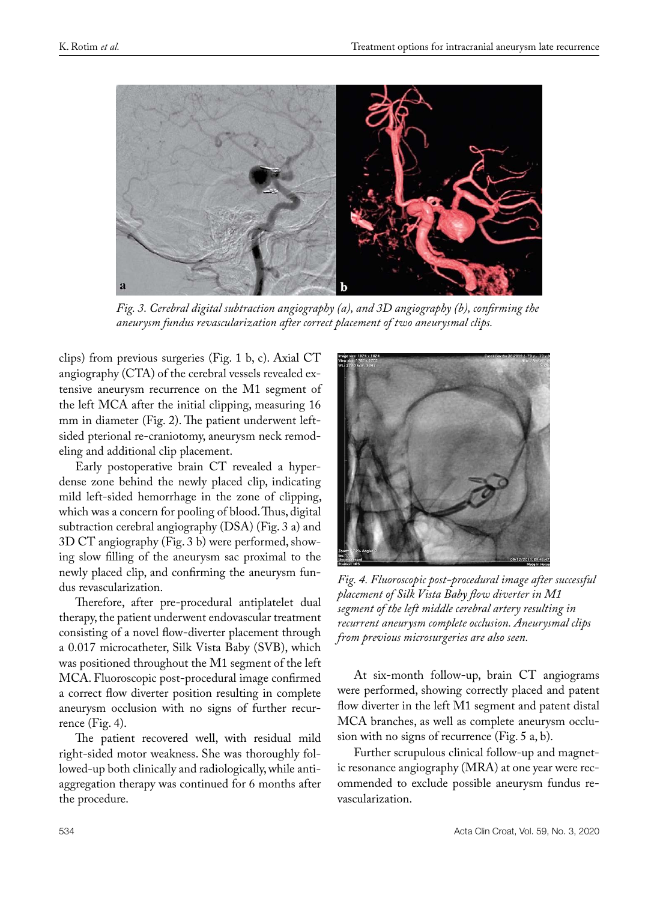

*Fig. 3. Cerebral digital subtraction angiography (a), and 3D angiography (b), confirming the aneurysm fundus revascularization after correct placement of two aneurysmal clips.*

clips) from previous surgeries (Fig. 1 b, c). Axial CT angiography (CTA) of the cerebral vessels revealed extensive aneurysm recurrence on the M1 segment of the left MCA after the initial clipping, measuring 16 mm in diameter (Fig. 2). The patient underwent leftsided pterional re-craniotomy, aneurysm neck remodeling and additional clip placement.

Early postoperative brain CT revealed a hyperdense zone behind the newly placed clip, indicating mild left-sided hemorrhage in the zone of clipping, which was a concern for pooling of blood. Thus, digital subtraction cerebral angiography (DSA) (Fig. 3 a) and 3D CT angiography (Fig. 3 b) were performed, showing slow filling of the aneurysm sac proximal to the newly placed clip, and confirming the aneurysm fundus revascularization.

Therefore, after pre-procedural antiplatelet dual therapy, the patient underwent endovascular treatment consisting of a novel flow-diverter placement through a 0.017 microcatheter, Silk Vista Baby (SVB), which was positioned throughout the M1 segment of the left MCA. Fluoroscopic post-procedural image confirmed a correct flow diverter position resulting in complete aneurysm occlusion with no signs of further recurrence (Fig. 4).

The patient recovered well, with residual mild right-sided motor weakness. She was thoroughly followed-up both clinically and radiologically, while antiaggregation therapy was continued for 6 months after the procedure.



*Fig. 4. Fluoroscopic post-procedural image after successful placement of Silk Vista Baby flow diverter in M1 segment of the left middle cerebral artery resulting in recurrent aneurysm complete occlusion. Aneurysmal clips from previous microsurgeries are also seen.*

At six-month follow-up, brain CT angiograms were performed, showing correctly placed and patent flow diverter in the left M1 segment and patent distal MCA branches, as well as complete aneurysm occlusion with no signs of recurrence (Fig. 5 a, b).

Further scrupulous clinical follow-up and magnetic resonance angiography (MRA) at one year were recommended to exclude possible aneurysm fundus revascularization.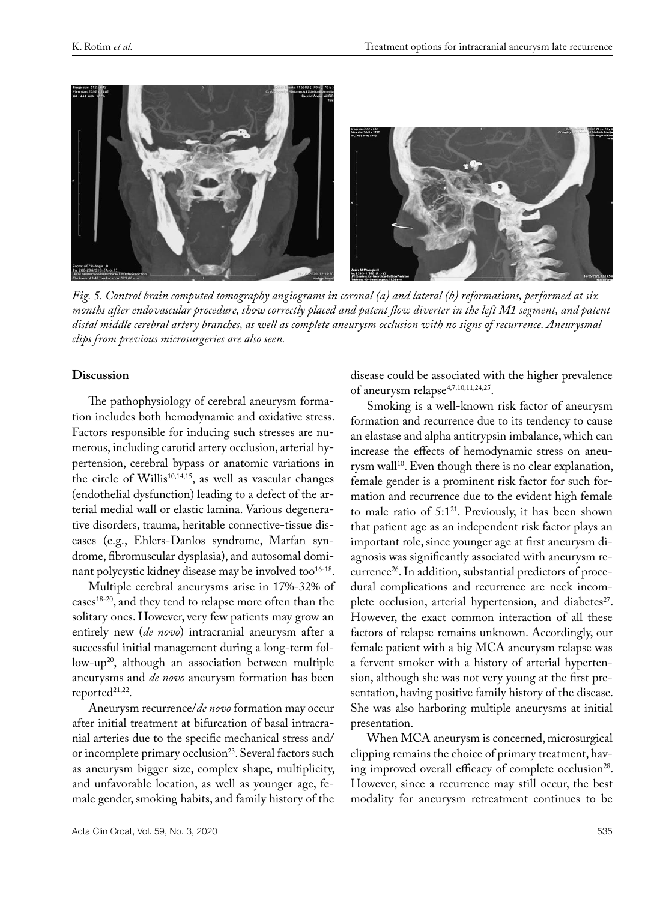

*Fig. 5. Control brain computed tomography angiograms in coronal (a) and lateral (b) reformations, performed at six months after endovascular procedure, show correctly placed and patent flow diverter in the left M1 segment, and patent distal middle cerebral artery branches, as well as complete aneurysm occlusion with no signs of recurrence. Aneurysmal clips from previous microsurgeries are also seen.*

## **Discussion**

The pathophysiology of cerebral aneurysm formation includes both hemodynamic and oxidative stress. Factors responsible for inducing such stresses are numerous, including carotid artery occlusion, arterial hypertension, cerebral bypass or anatomic variations in the circle of Willis<sup>10,14,15</sup>, as well as vascular changes (endothelial dysfunction) leading to a defect of the arterial medial wall or elastic lamina. Various degenerative disorders, trauma, heritable connective-tissue diseases (e.g., Ehlers-Danlos syndrome, Marfan syndrome, fibromuscular dysplasia), and autosomal dominant polycystic kidney disease may be involved too<sup>16-18</sup>.

Multiple cerebral aneurysms arise in 17%-32% of cases18-20, and they tend to relapse more often than the solitary ones. However, very few patients may grow an entirely new (*de novo*) intracranial aneurysm after a successful initial management during a long-term follow-up<sup>20</sup>, although an association between multiple aneurysms and *de novo* aneurysm formation has been reported<sup>21,22</sup>.

Aneurysm recurrence/*de novo* formation may occur after initial treatment at bifurcation of basal intracranial arteries due to the specific mechanical stress and/ or incomplete primary occlusion<sup>23</sup>. Several factors such as aneurysm bigger size, complex shape, multiplicity, and unfavorable location, as well as younger age, female gender, smoking habits, and family history of the

disease could be associated with the higher prevalence of aneurysm relapse<sup>4,7,10,11,24,25</sup>.

Smoking is a well-known risk factor of aneurysm formation and recurrence due to its tendency to cause an elastase and alpha antitrypsin imbalance, which can increase the effects of hemodynamic stress on aneurysm wall<sup>10</sup>. Even though there is no clear explanation, female gender is a prominent risk factor for such formation and recurrence due to the evident high female to male ratio of  $5:1^{21}$ . Previously, it has been shown that patient age as an independent risk factor plays an important role, since younger age at first aneurysm diagnosis was significantly associated with aneurysm recurrence26. In addition, substantial predictors of procedural complications and recurrence are neck incomplete occlusion, arterial hypertension, and diabetes<sup>27</sup>. However, the exact common interaction of all these factors of relapse remains unknown. Accordingly, our female patient with a big MCA aneurysm relapse was a fervent smoker with a history of arterial hypertension, although she was not very young at the first presentation, having positive family history of the disease. She was also harboring multiple aneurysms at initial presentation.

When MCA aneurysm is concerned, microsurgical clipping remains the choice of primary treatment, having improved overall efficacy of complete occlusion<sup>28</sup>. However, since a recurrence may still occur, the best modality for aneurysm retreatment continues to be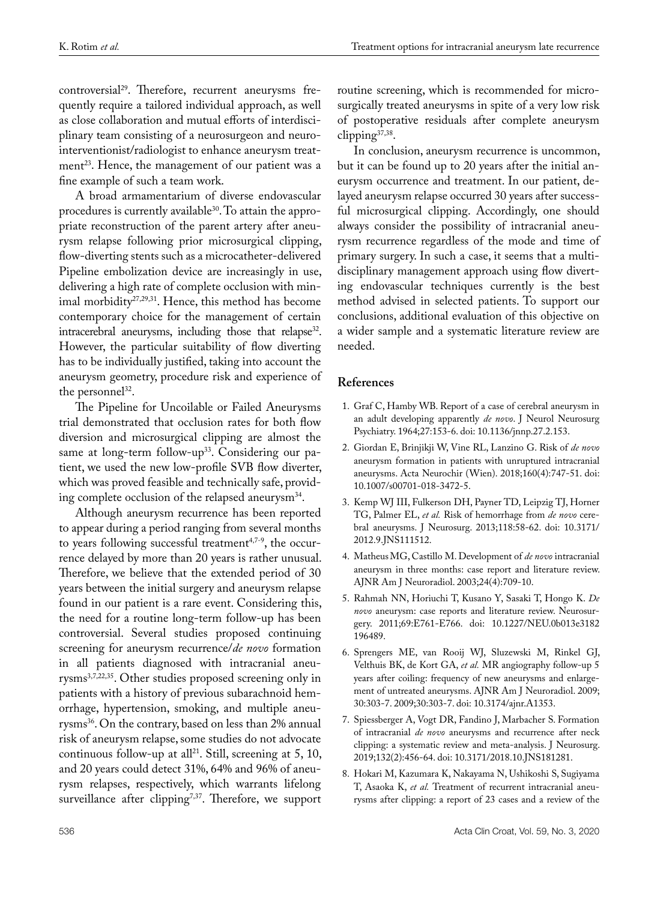controversial29. Therefore, recurrent aneurysms frequently require a tailored individual approach, as well as close collaboration and mutual efforts of interdisciplinary team consisting of a neurosurgeon and neurointerventionist/radiologist to enhance aneurysm treatment<sup>23</sup>. Hence, the management of our patient was a fine example of such a team work.

A broad armamentarium of diverse endovascular procedures is currently available<sup>30</sup>. To attain the appropriate reconstruction of the parent artery after aneurysm relapse following prior microsurgical clipping, flow-diverting stents such as a microcatheter-delivered Pipeline embolization device are increasingly in use, delivering a high rate of complete occlusion with minimal morbidity<sup>27,29,31</sup>. Hence, this method has become contemporary choice for the management of certain intracerebral aneurysms, including those that relapse<sup>32</sup>. However, the particular suitability of flow diverting has to be individually justified, taking into account the aneurysm geometry, procedure risk and experience of the personnel<sup>32</sup>.

The Pipeline for Uncoilable or Failed Aneurysms trial demonstrated that occlusion rates for both flow diversion and microsurgical clipping are almost the same at long-term follow-up<sup>33</sup>. Considering our patient, we used the new low-profile SVB flow diverter, which was proved feasible and technically safe, providing complete occlusion of the relapsed aneurysm<sup>34</sup>.

Although aneurysm recurrence has been reported to appear during a period ranging from several months to years following successful treatment<sup>4,7-9</sup>, the occurrence delayed by more than 20 years is rather unusual. Therefore, we believe that the extended period of 30 years between the initial surgery and aneurysm relapse found in our patient is a rare event. Considering this, the need for a routine long-term follow-up has been controversial. Several studies proposed continuing screening for aneurysm recurrence/*de novo* formation in all patients diagnosed with intracranial aneurysms3,7,22,35. Other studies proposed screening only in patients with a history of previous subarachnoid hemorrhage, hypertension, smoking, and multiple aneurysms<sup>36</sup>. On the contrary, based on less than 2% annual risk of aneurysm relapse, some studies do not advocate continuous follow-up at all<sup>21</sup>. Still, screening at 5, 10, and 20 years could detect 31%, 64% and 96% of aneurysm relapses, respectively, which warrants lifelong surveillance after clipping<sup>7,37</sup>. Therefore, we support routine screening, which is recommended for microsurgically treated aneurysms in spite of a very low risk of postoperative residuals after complete aneurysm clipping37,38.

In conclusion, aneurysm recurrence is uncommon, but it can be found up to 20 years after the initial aneurysm occurrence and treatment. In our patient, delayed aneurysm relapse occurred 30 years after successful microsurgical clipping. Accordingly, one should always consider the possibility of intracranial aneurysm recurrence regardless of the mode and time of primary surgery. In such a case, it seems that a multidisciplinary management approach using flow diverting endovascular techniques currently is the best method advised in selected patients. To support our conclusions, additional evaluation of this objective on a wider sample and a systematic literature review are needed.

## **References**

- 1. Graf C, Hamby WB. Report of a case of cerebral aneurysm in an adult developing apparently *de novo*. J Neurol Neurosurg Psychiatry. 1964;27:153-6. doi: 10.1136/jnnp.27.2.153.
- 2. [Giordan](https://pubmed.ncbi.nlm.nih.gov/?term=Giordan+E&cauthor_id=29417227) E, [Brinjikji](https://pubmed.ncbi.nlm.nih.gov/?term=Brinjikji+W&cauthor_id=29417227) W, [Vine](https://pubmed.ncbi.nlm.nih.gov/?term=Vine+RL&cauthor_id=29417227) RL, [Lanzino](https://pubmed.ncbi.nlm.nih.gov/?term=Lanzino+G&cauthor_id=29417227) G. Risk of *de novo* aneurysm formation in patients with unruptured intracranial aneurysms. Acta Neurochir (Wien). 2018;160(4):747-51. doi: 10.1007/s00701-018-3472-5.
- 3. Kemp WJ III, Fulkerson DH, Payner TD, Leipzig TJ, Horner TG, Palmer EL, *et al.* Risk of hemorrhage from *de novo* cerebral aneurysms. J Neurosurg. 2013;118:58-62. doi: 10.3171/ 2012.9.JNS111512.
- 4. [Matheus](https://pubmed.ncbi.nlm.nih.gov/?term=Matheus+MG&cauthor_id=12695209)MG, [Castillo](https://pubmed.ncbi.nlm.nih.gov/?term=Castillo+M&cauthor_id=12695209) M. Development of *de novo* intracranial aneurysm in three months: case report and literature review. AJNR Am J Neuroradiol. 2003;24(4):709-10.
- 5. Rahmah NN, Horiuchi T, Kusano Y, Sasaki T, Hongo K. *De novo* aneurysm: case reports and literature review. Neurosurgery. 2011;69:E761-E766. doi: 10.1227/NEU.0b013e3182 196489.
- 6. Sprengers ME, van Rooij WJ, Sluzewski M, Rinkel GJ, Velthuis BK, de Kort GA, *et al.* MR angiography follow-up 5 years after coiling: frequency of new aneurysms and enlargement of untreated aneurysms. AJNR Am J Neuroradiol. 2009; 30:303-7. 2009;30:303-7. doi: 10.3174/ajnr.A1353.
- 7. [Spiessberger](https://pubmed.ncbi.nlm.nih.gov/?term=Spiessberger+A&cauthor_id=30797217) A, [Vogt](https://pubmed.ncbi.nlm.nih.gov/?term=Vogt+DR&cauthor_id=30797217) DR, [Fandino](https://pubmed.ncbi.nlm.nih.gov/?term=Fandino+J&cauthor_id=30797217) J, [Marbacher](https://pubmed.ncbi.nlm.nih.gov/?term=Marbacher+S&cauthor_id=30797217) S. Formation of intracranial *de novo* aneurysms and recurrence after neck clipping: a systematic review and meta-analysis. J Neurosurg. 2019;132(2):456-64. doi: 10.3171/2018.10.JNS181281.
- 8. Hokari M, Kazumara K, Nakayama N, Ushikoshi S, Sugiyama T, Asaoka K, *et al.* Treatment of recurrent intracranial aneurysms after clipping: a report of 23 cases and a review of the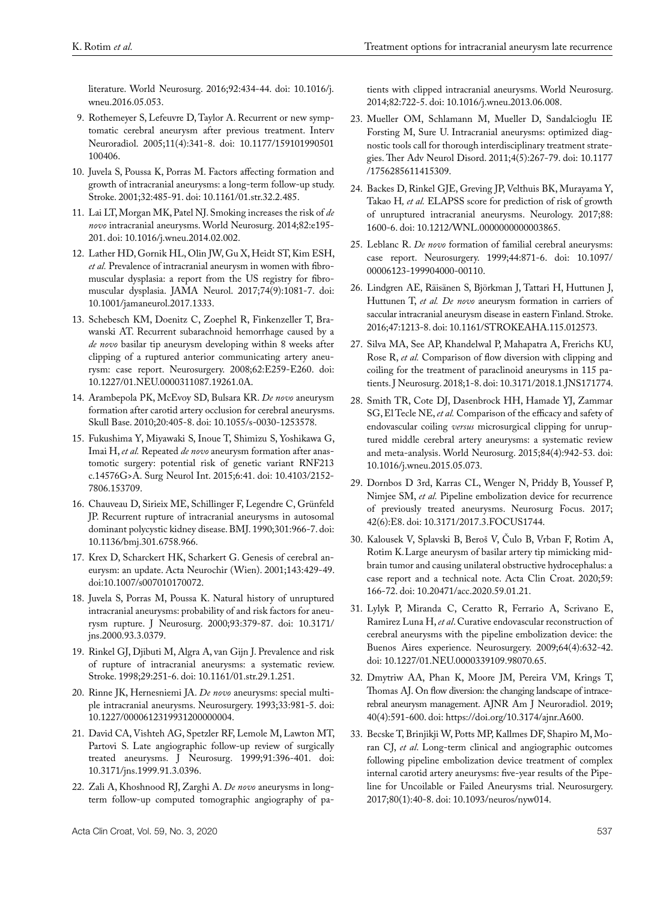literature. World Neurosurg. 2016;92:434-44. doi: 10.1016/j. wneu.2016.05.053.

- 9. Rothemeyer S, Lefeuvre D, Taylor A. Recurrent or new symptomatic cerebral aneurysm after previous treatment. Interv Neuroradiol. 2005;11(4):341-8. doi: 10.1177/159101990501 100406.
- 10. Juvela S, Poussa K, Porras M. Factors affecting formation and growth of intracranial aneurysms: a long-term follow-up study. Stroke. 2001;32:485-91. doi: 10.1161/01.str.32.2.485.
- 11. Lai LT, Morgan MK, Patel NJ. Smoking increases the risk of *de novo* intracranial aneurysms. World Neurosurg. 2014;82:e195- 201. doi: 10.1016/j.wneu.2014.02.002.
- 12. [Lather](https://pubmed.ncbi.nlm.nih.gov/?term=Lather+HD&cauthor_id=28715558) HD, [Gornik](https://pubmed.ncbi.nlm.nih.gov/?term=Gornik+HL&cauthor_id=28715558) HL, [Olin](https://pubmed.ncbi.nlm.nih.gov/?term=Olin+JW&cauthor_id=28715558) JW, [Gu](https://pubmed.ncbi.nlm.nih.gov/?term=Gu+X&cauthor_id=28715558) X, [Heidt](https://pubmed.ncbi.nlm.nih.gov/?term=Heidt+ST&cauthor_id=28715558) ST, [Kim](https://pubmed.ncbi.nlm.nih.gov/?term=Kim+ESH&cauthor_id=28715558) ESH, *et al.* Prevalence of intracranial aneurysm in women with fibromuscular dysplasia: a report from the US registry for fibromuscular dysplasia. JAMA Neurol. 2017;74(9):1081-7. doi: 10.1001/jamaneurol.2017.1333.
- 13. Schebesch KM, Doenitz C, Zoephel R, Finkenzeller T, Brawanski AT. Recurrent subarachnoid hemorrhage caused by a *de novo* basilar tip aneurysm developing within 8 weeks after clipping of a ruptured anterior communicating artery aneurysm: case report. Neurosurgery. 2008;62:E259-E260. doi: 10.1227/01.NEU.0000311087.19261.0A.
- 14. Arambepola PK, McEvoy SD, Bulsara KR. *De novo* aneurysm formation after carotid artery occlusion for cerebral aneurysms. Skull Base. 2010;20:405-8. doi: 10.1055/s-0030-1253578.
- 15. Fukushima Y, Miyawaki S, Inoue T, Shimizu S, Yoshikawa G, Imai H, *et al.* Repeated *de novo* aneurysm formation after anastomotic surgery: potential risk of genetic variant RNF213 c.14576G>A. Surg Neurol Int. 2015;6:41. doi: 10.4103/2152- 7806.153709.
- 16. Chauveau D, Sirieix ME, Schillinger F, Legendre C, Grünfeld JP. Recurrent rupture of intracranial aneurysms in autosomal dominant polycystic kidney disease. BMJ. 1990;301:966-7. doi: 10.1136/bmj.301.6758.966.
- 17. Krex D, Scharckert HK, Scharkert G. Genesis of cerebral aneurysm: an update. Acta Neurochir (Wien). 2001;143:429-49. doi:10.1007/s007010170072.
- 18. Juvela S, Porras M, Poussa K. Natural history of unruptured intracranial aneurysms: probability of and risk factors for aneurysm rupture. J Neurosurg. 2000;93:379-87. doi: 10.3171/ jns.2000.93.3.0379.
- 19. Rinkel GJ, Djibuti M, Algra A, van Gijn J. Prevalence and risk of rupture of intracranial aneurysms: a systematic review. Stroke. 1998;29:251-6. doi: 10.1161/01.str.29.1.251.
- 20. Rinne JK, Hernesniemi JA. *De novo* aneurysms: special multiple intracranial aneurysms. Neurosurgery. 1993;33:981-5. doi: [10.1227/0000612319931200000004.](https://doi.org/10.1227/00006123-199312000-00004)
- 21. David CA, Vishteh AG, Spetzler RF, Lemole M, Lawton MT, Partovi S. Late angiographic follow-up review of surgically treated aneurysms. J Neurosurg. 1999;91:396-401. doi: 10.3171/jns.1999.91.3.0396.
- 22. Zali A, Khoshnood RJ, Zarghi A. *De novo* aneurysms in longterm follow-up computed tomographic angiography of pa-

tients with clipped intracranial aneurysms. World Neurosurg. 2014;82:722-5. doi: 10.1016/j.wneu.2013.06.008.

- 23. Mueller OM, [Schlamann](https://pubmed.ncbi.nlm.nih.gov/?term=Schlamann+M&cauthor_id=22010040) M, [Mueller](https://pubmed.ncbi.nlm.nih.gov/?term=Mueller+D&cauthor_id=22010040) D, [Sandalcioglu](https://pubmed.ncbi.nlm.nih.gov/?term=Sandalcioglu+IE&cauthor_id=22010040) IE [Forsting](https://pubmed.ncbi.nlm.nih.gov/?term=Forsting+M&cauthor_id=22010040) M, [Sure](https://pubmed.ncbi.nlm.nih.gov/?term=Sure+U&cauthor_id=22010040) U. Intracranial aneurysms: optimized diagnostic tools call for thorough interdisciplinary treatment strategies. Ther Adv Neurol Disord. 2011;4(5):267-79. doi: [10.1177](https://dx.doi.org/10.1177%2F1756285611415309) [/1756285611415309](https://dx.doi.org/10.1177%2F1756285611415309).
- 24. Backes D, Rinkel GJE, Greving JP, Velthuis BK, Murayama Y, Takao H*, et al.* ELAPSS score for prediction of risk of growth of unruptured intracranial aneurysms. Neurology. 2017;88: 1600-6. doi: 10.1212/WNL.0000000000003865.
- 25. Leblanc R. *De novo* formation of familial cerebral aneurysms: case report. Neurosurgery. 1999;44:871-6. doi: 10.1097/ 00006123-199904000-00110.
- 26. Lindgren AE, Räisänen S, Björkman J, Tattari H, Huttunen J, Huttunen T, *et al. De novo* aneurysm formation in carriers of saccular intracranial aneurysm disease in eastern Finland. Stroke. 2016;47:1213-8. doi: 10.1161/STROKEAHA.115.012573.
- 27. [Silva](https://pubmed.ncbi.nlm.nih.gov/?term=Silva+MA&cauthor_id=29932380) MA, [See](https://pubmed.ncbi.nlm.nih.gov/?term=See+AP&cauthor_id=29932380) AP, [Khandelwal](https://pubmed.ncbi.nlm.nih.gov/?term=Khandelwal+P&cauthor_id=29932380) P, [Mahapatra](https://pubmed.ncbi.nlm.nih.gov/?term=Mahapatra+A&cauthor_id=29932380) A, [Frerichs](https://pubmed.ncbi.nlm.nih.gov/?term=Frerichs+KU&cauthor_id=29932380) KU, [Rose R](https://pubmed.ncbi.nlm.nih.gov/?term=Du+R&cauthor_id=29932380), *et al.* Comparison of flow diversion with clipping and coiling for the treatment of paraclinoid aneurysms in 115 patients. J Neurosurg. 2018;1-8. doi: 10.3171/2018.1.JNS171774.
- 28. Smith TR, Cote DJ, Dasenbrock HH, Hamade YJ, Zammar SG, El Tecle NE, *et al.* Comparison of the efficacy and safety of endovascular coiling *versus* microsurgical clipping for unruptured middle cerebral artery aneurysms: a systematic review and meta-analysis. World Neurosurg. 2015;84(4):942-53. doi: 10.1016/j.wneu.2015.05.073.
- 29. [Dornbos D 3rd](https://pubmed.ncbi.nlm.nih.gov/?term=Dornbos+D+3rd&cauthor_id=28565989), [Karras](https://pubmed.ncbi.nlm.nih.gov/?term=Karras+CL&cauthor_id=28565989) CL, [Wenger](https://pubmed.ncbi.nlm.nih.gov/?term=Wenger+N&cauthor_id=28565989) N, [Priddy](https://pubmed.ncbi.nlm.nih.gov/?term=Priddy+B&cauthor_id=28565989) B, [Youssef](https://pubmed.ncbi.nlm.nih.gov/?term=Youssef+P&cauthor_id=28565989) P, [Nimjee](https://pubmed.ncbi.nlm.nih.gov/?term=Nimjee+SM&cauthor_id=28565989) SM, *et al.* Pipeline embolization device for recurrence of previously treated aneurysms. Neurosurg Focus. 2017; 42(6):E8. doi: 10.3171/2017.3.FOCUS1744.
- 30. Kalousek V, Splavski B, Beroš V, Čulo B, Vrban F, Rotim A, Rotim K.Large aneurysm of basilar artery tip mimicking midbrain tumor and causing unilateral obstructive hydrocephalus: a case report and a technical note. Acta Clin Croat. 2020;59: 166-72. doi: 10.20471/acc.2020.59.01.21.
- 31. [Lylyk](https://pubmed.ncbi.nlm.nih.gov/?term=Lylyk+P&cauthor_id=19349825) P, [Miranda](https://pubmed.ncbi.nlm.nih.gov/?term=Miranda+C&cauthor_id=19349825) C, [Ceratto](https://pubmed.ncbi.nlm.nih.gov/?term=Ceratto+R&cauthor_id=19349825) R, [Ferrario](https://pubmed.ncbi.nlm.nih.gov/?term=Ferrario+A&cauthor_id=19349825) A, [Scrivano](https://pubmed.ncbi.nlm.nih.gov/?term=Scrivano+E&cauthor_id=19349825) E, [Ramirez Luna](https://pubmed.ncbi.nlm.nih.gov/?term=Luna+HR&cauthor_id=19349825) H, *et al*. Curative endovascular reconstruction of cerebral aneurysms with the pipeline embolization device: the Buenos Aires experience. Neurosurgery. 2009;64(4):632-42. doi: 10.1227/01.NEU.0000339109.98070.65.
- 32. Dmytriw AA, Phan K, Moore JM, Pereira VM, Krings T, Thomas AJ. On flow diversion: the changing landscape of intracerebral aneurysm management. AJNR Am J Neuroradiol. 2019; 40(4):591-600. doi: https://doi.org/10.3174/ajnr.A600.
- 33. [Becske](https://pubmed.ncbi.nlm.nih.gov/?term=Becske+T&cauthor_id=28362885) T, [Brinjikji](https://pubmed.ncbi.nlm.nih.gov/?term=Brinjikji+W&cauthor_id=28362885) W, [Potts](https://pubmed.ncbi.nlm.nih.gov/?term=Potts+MB&cauthor_id=28362885) MP, [Kallmes](https://pubmed.ncbi.nlm.nih.gov/?term=Kallmes+DF&cauthor_id=28362885) DF, [Shapiro](https://pubmed.ncbi.nlm.nih.gov/?term=Shapiro+M&cauthor_id=28362885) M, [Mo](https://pubmed.ncbi.nlm.nih.gov/?term=Moran+CJ&cauthor_id=28362885)[ran](https://pubmed.ncbi.nlm.nih.gov/?term=Moran+CJ&cauthor_id=28362885) CJ, *et al*. Long-term clinical and angiographic outcomes following pipeline embolization device treatment of complex internal carotid artery aneurysms: five-year results of the Pipeline for Uncoilable or Failed Aneurysms trial. Neurosurgery. 2017;80(1):40-8. doi: 10.1093/neuros/nyw014.